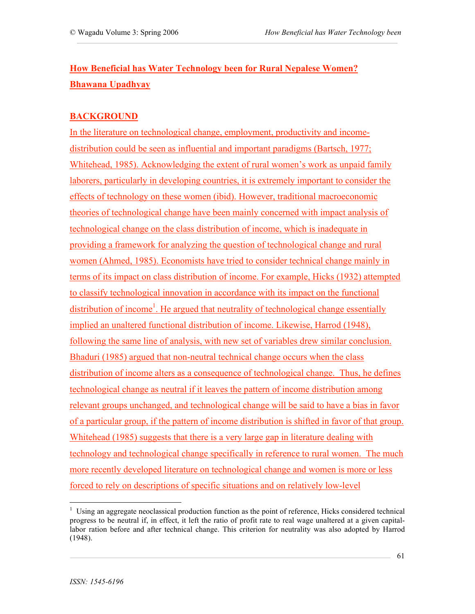# **How Beneficial has Water Technology been for Rural Nepalese Women? Bhawana Upadhyay**

## **BACKGROUND**

In the literature on technological change, employment, productivity and incomedistribution could be seen as influential and important paradigms (Bartsch, 1977; Whitehead, 1985). Acknowledging the extent of rural women's work as unpaid family laborers, particularly in developing countries, it is extremely important to consider the effects of technology on these women (ibid). However, traditional macroeconomic theories of technological change have been mainly concerned with impact analysis of technological change on the class distribution of income, which is inadequate in providing a framework for analyzing the question of technological change and rural women (Ahmed, 1985). Economists have tried to consider technical change mainly in terms of its impact on class distribution of income. For example, Hicks (1932) attempted to classify technological innovation in accordance with its impact on the functional distribution of income<sup>1</sup>. He argued that neutrality of technological change essentially implied an unaltered functional distribution of income. Likewise, Harrod (1948), following the same line of analysis, with new set of variables drew similar conclusion. Bhaduri (1985) argued that non-neutral technical change occurs when the class distribution of income alters as a consequence of technological change. Thus, he defines technological change as neutral if it leaves the pattern of income distribution among relevant groups unchanged, and technological change will be said to have a bias in favor of a particular group, if the pattern of income distribution is shifted in favor of that group. Whitehead (1985) suggests that there is a very large gap in literature dealing with technology and technological change specifically in reference to rural women. The much more recently developed literature on technological change and women is more or less forced to rely on descriptions of specific situations and on relatively low-level

 $<sup>1</sup>$  Using an aggregate neoclassical production function as the point of reference, Hicks considered technical</sup> progress to be neutral if, in effect, it left the ratio of profit rate to real wage unaltered at a given capitallabor ration before and after technical change. This criterion for neutrality was also adopted by Harrod (1948).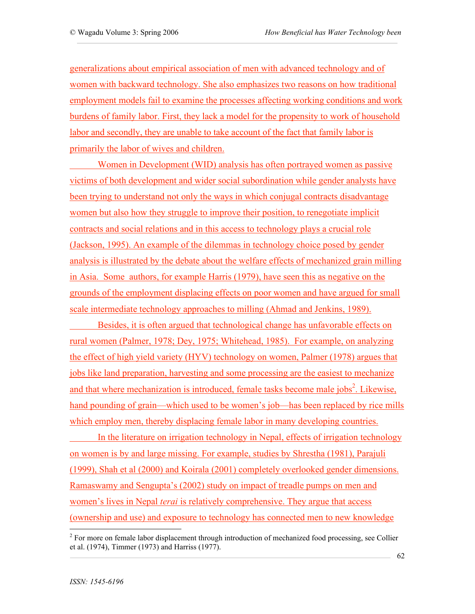generalizations about empirical association of men with advanced technology and of women with backward technology. She also emphasizes two reasons on how traditional employment models fail to examine the processes affecting working conditions and work burdens of family labor. First, they lack a model for the propensity to work of household labor and secondly, they are unable to take account of the fact that family labor is primarily the labor of wives and children.

Women in Development (WID) analysis has often portrayed women as passive victims of both development and wider social subordination while gender analysts have been trying to understand not only the ways in which conjugal contracts disadvantage women but also how they struggle to improve their position, to renegotiate implicit contracts and social relations and in this access to technology plays a crucial role (Jackson, 1995). An example of the dilemmas in technology choice posed by gender analysis is illustrated by the debate about the welfare effects of mechanized grain milling in Asia. Some authors, for example Harris (1979), have seen this as negative on the grounds of the employment displacing effects on poor women and have argued for small scale intermediate technology approaches to milling (Ahmad and Jenkins, 1989).

Besides, it is often argued that technological change has unfavorable effects on rural women (Palmer, 1978; Dey, 1975; Whitehead, 1985). For example, on analyzing the effect of high yield variety (HYV) technology on women, Palmer (1978) argues that jobs like land preparation, harvesting and some processing are the easiest to mechanize and that where mechanization is introduced, female tasks become male jobs<sup>2</sup>. Likewise, hand pounding of grain—which used to be women's job—has been replaced by rice mills which employ men, thereby displacing female labor in many developing countries.

In the literature on irrigation technology in Nepal, effects of irrigation technology on women is by and large missing. For example, studies by Shrestha (1981), Parajuli (1999), Shah et al (2000) and Koirala (2001) completely overlooked gender dimensions. Ramaswamy and Sengupta's (2002) study on impact of treadle pumps on men and women's lives in Nepal *terai* is relatively comprehensive. They argue that access (ownership and use) and exposure to technology has connected men to new knowledge

 $2^2$  For more on female labor displacement through introduction of mechanized food processing, see Collier et al. (1974), Timmer (1973) and Harriss (1977).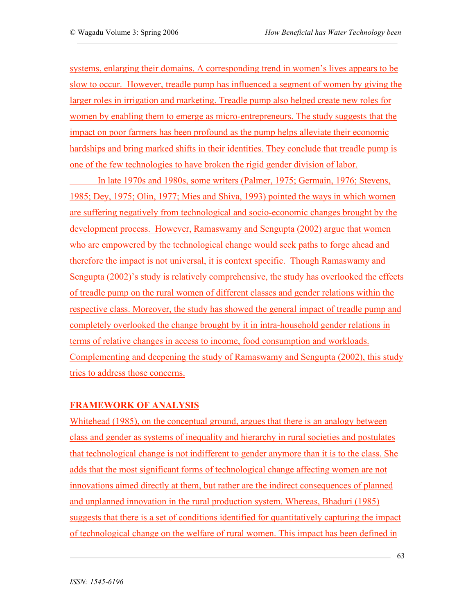systems, enlarging their domains. A corresponding trend in women's lives appears to be slow to occur. However, treadle pump has influenced a segment of women by giving the larger roles in irrigation and marketing. Treadle pump also helped create new roles for women by enabling them to emerge as micro-entrepreneurs. The study suggests that the impact on poor farmers has been profound as the pump helps alleviate their economic hardships and bring marked shifts in their identities. They conclude that treadle pump is one of the few technologies to have broken the rigid gender division of labor.

In late 1970s and 1980s, some writers (Palmer, 1975; Germain, 1976; Stevens, 1985; Dey, 1975; Olin, 1977; Mies and Shiva, 1993) pointed the ways in which women are suffering negatively from technological and socio-economic changes brought by the development process. However, Ramaswamy and Sengupta (2002) argue that women who are empowered by the technological change would seek paths to forge ahead and therefore the impact is not universal, it is context specific. Though Ramaswamy and Sengupta (2002)'s study is relatively comprehensive, the study has overlooked the effects of treadle pump on the rural women of different classes and gender relations within the respective class. Moreover, the study has showed the general impact of treadle pump and completely overlooked the change brought by it in intra-household gender relations in terms of relative changes in access to income, food consumption and workloads. Complementing and deepening the study of Ramaswamy and Sengupta (2002), this study tries to address those concerns.

## **FRAMEWORK OF ANALYSIS**

Whitehead (1985), on the conceptual ground, argues that there is an analogy between class and gender as systems of inequality and hierarchy in rural societies and postulates that technological change is not indifferent to gender anymore than it is to the class. She adds that the most significant forms of technological change affecting women are not innovations aimed directly at them, but rather are the indirect consequences of planned and unplanned innovation in the rural production system. Whereas, Bhaduri (1985) suggests that there is a set of conditions identified for quantitatively capturing the impact of technological change on the welfare of rural women. This impact has been defined in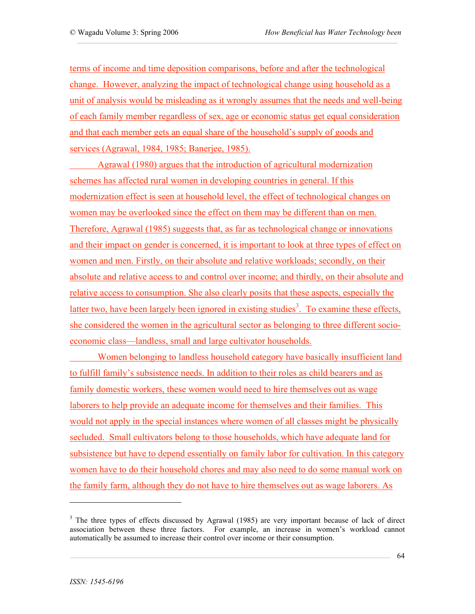terms of income and time deposition comparisons, before and after the technological change. However, analyzing the impact of technological change using household as a unit of analysis would be misleading as it wrongly assumes that the needs and well-being of each family member regardless of sex, age or economic status get equal consideration and that each member gets an equal share of the household's supply of goods and services (Agrawal, 1984, 1985; Banerjee, 1985).

Agrawal (1980) argues that the introduction of agricultural modernization schemes has affected rural women in developing countries in general. If this modernization effect is seen at household level, the effect of technological changes on women may be overlooked since the effect on them may be different than on men. Therefore, Agrawal (1985) suggests that, as far as technological change or innovations and their impact on gender is concerned, it is important to look at three types of effect on women and men. Firstly, on their absolute and relative workloads; secondly, on their absolute and relative access to and control over income; and thirdly, on their absolute and relative access to consumption. She also clearly posits that these aspects, especially the latter two, have been largely been ignored in existing studies<sup>3</sup>. To examine these effects, she considered the women in the agricultural sector as belonging to three different socioeconomic class—landless, small and large cultivator households.

Women belonging to landless household category have basically insufficient land to fulfill family's subsistence needs. In addition to their roles as child bearers and as family domestic workers, these women would need to hire themselves out as wage laborers to help provide an adequate income for themselves and their families. This would not apply in the special instances where women of all classes might be physically secluded. Small cultivators belong to those households, which have adequate land for subsistence but have to depend essentially on family labor for cultivation. In this category women have to do their household chores and may also need to do some manual work on the family farm, although they do not have to hire themselves out as wage laborers. As

 $\overline{a}$ 

 $3$  The three types of effects discussed by Agrawal (1985) are very important because of lack of direct association between these three factors. For example, an increase in women's workload cannot automatically be assumed to increase their control over income or their consumption.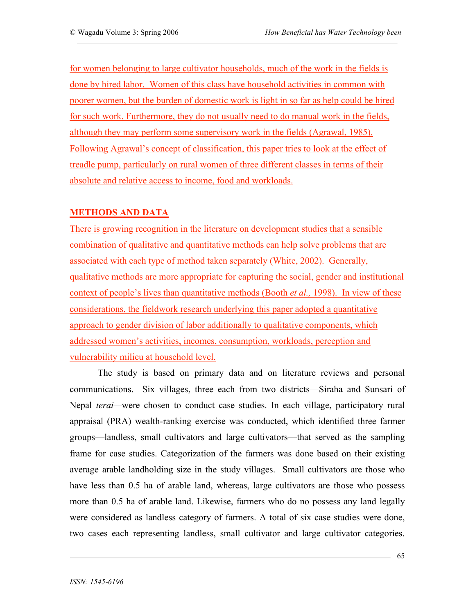for women belonging to large cultivator households, much of the work in the fields is done by hired labor. Women of this class have household activities in common with poorer women, but the burden of domestic work is light in so far as help could be hired for such work. Furthermore, they do not usually need to do manual work in the fields, although they may perform some supervisory work in the fields (Agrawal, 1985). Following Agrawal's concept of classification, this paper tries to look at the effect of treadle pump, particularly on rural women of three different classes in terms of their absolute and relative access to income, food and workloads.

## **METHODS AND DATA**

There is growing recognition in the literature on development studies that a sensible combination of qualitative and quantitative methods can help solve problems that are associated with each type of method taken separately (White, 2002). Generally, qualitative methods are more appropriate for capturing the social, gender and institutional context of people's lives than quantitative methods (Booth *et al.,* 1998). In view of these considerations, the fieldwork research underlying this paper adopted a quantitative approach to gender division of labor additionally to qualitative components, which addressed women's activities, incomes, consumption, workloads, perception and vulnerability milieu at household level.

The study is based on primary data and on literature reviews and personal communications. Six villages, three each from two districts—Siraha and Sunsari of Nepal *terai—*were chosen to conduct case studies. In each village, participatory rural appraisal (PRA) wealth-ranking exercise was conducted, which identified three farmer groups—landless, small cultivators and large cultivators—that served as the sampling frame for case studies. Categorization of the farmers was done based on their existing average arable landholding size in the study villages. Small cultivators are those who have less than 0.5 ha of arable land, whereas, large cultivators are those who possess more than 0.5 ha of arable land. Likewise, farmers who do no possess any land legally were considered as landless category of farmers. A total of six case studies were done, two cases each representing landless, small cultivator and large cultivator categories.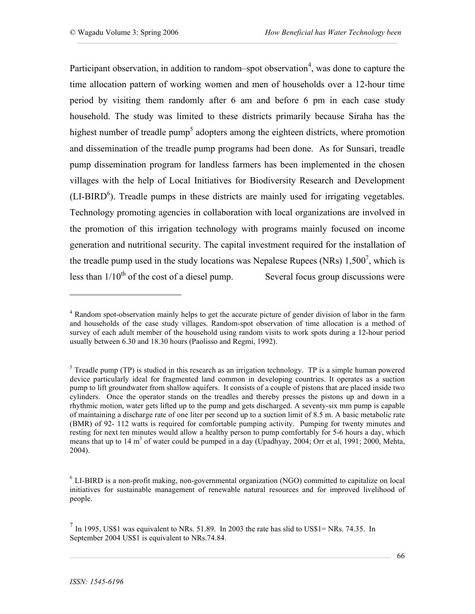Participant observation, in addition to random–spot observation<sup>4</sup>, was done to capture the time allocation pattern of working women and men of households over a 12-hour time period by visiting them randomly after 6 am and before 6 pm in each case study household. The study was limited to these districts primarily because Siraha has the highest number of treadle pump<sup>5</sup> adopters among the eighteen districts, where promotion and dissemination of the treadle pump programs had been done. As for Sunsari, treadle pump dissemination program for landless farmers has been implemented in the chosen villages with the help of Local Initiatives for Biodiversity Research and Development  $(LI-BIRD<sup>6</sup>)$ . Treadle pumps in these districts are mainly used for irrigating vegetables. Technology promoting agencies in collaboration with local organizations are involved in the promotion of this irrigation technology with programs mainly focused on income generation and nutritional security. The capital investment required for the installation of the treadle pump used in the study locations was Nepalese Rupees (NRs)  $1,500^7$ , which is less than  $1/10^{th}$  of the cost of a diesel pump. Several focus group discussions were

 $\overline{a}$ 

<sup>&</sup>lt;sup>4</sup> Random spot-observation mainly helps to get the accurate picture of gender division of labor in the farm and households of the case study villages. Random-spot observation of time allocation is a method of survey of each adult member of the household using random visits to work spots during a 12-hour period usually between 6.30 and 18.30 hours (Paolisso and Regmi, 1992).

 $<sup>5</sup>$  Treadle pump (TP) is studied in this research as an irrigation technology. TP is a simple human powered</sup> device particularly ideal for fragmented land common in developing countries. It operates as a suction pump to lift groundwater from shallow aquifers. It consists of a couple of pistons that are placed inside two cylinders. Once the operator stands on the treadles and thereby presses the pistons up and down in a rhythmic motion, water gets lifted up to the pump and gets discharged. A seventy-six mm pump is capable of maintaining a discharge rate of one liter per second up to a suction limit of 8.5 m. A basic metabolic rate (BMR) of 92- 112 watts is required for comfortable pumping activity. Pumping for twenty minutes and resting for next ten minutes would allow a healthy person to pump comfortably for 5-6 hours a day, which means that up to 14 m<sup>3</sup> of water could be pumped in a day (Upadhyay, 2004; Orr et al, 1991; 2000, Mehta, 2004).

<sup>&</sup>lt;sup>6</sup> LI-BIRD is a non-profit making, non-governmental organization (NGO) committed to capitalize on local initiatives for sustainable management of renewable natural resources and for improved livelihood of people.

<sup>7</sup> In 1995, US\$1 was equivalent to NRs. 51.89. In 2003 the rate has slid to US\$1= NRs. 74.35. In September 2004 US\$1 is equivalent to NRs.74.84.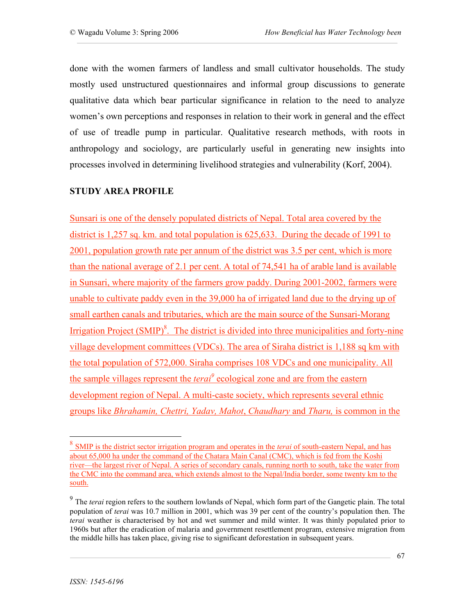done with the women farmers of landless and small cultivator households. The study mostly used unstructured questionnaires and informal group discussions to generate qualitative data which bear particular significance in relation to the need to analyze women's own perceptions and responses in relation to their work in general and the effect of use of treadle pump in particular. Qualitative research methods, with roots in anthropology and sociology, are particularly useful in generating new insights into processes involved in determining livelihood strategies and vulnerability (Korf, 2004).

### **STUDY AREA PROFILE**

Sunsari is one of the densely populated districts of Nepal. Total area covered by the district is 1,257 sq. km. and total population is 625,633. During the decade of 1991 to 2001, population growth rate per annum of the district was 3.5 per cent, which is more than the national average of 2.1 per cent. A total of 74,541 ha of arable land is available in Sunsari, where majority of the farmers grow paddy. During 2001-2002, farmers were unable to cultivate paddy even in the 39,000 ha of irrigated land due to the drying up of small earthen canals and tributaries, which are the main source of the Sunsari-Morang Irrigation Project (SMIP)<sup>8</sup>. The district is divided into three municipalities and forty-nine village development committees (VDCs). The area of Siraha district is 1,188 sq km with the total population of 572,000. Siraha comprises 108 VDCs and one municipality. All the sample villages represent the *terai*<sup>9</sup> ecological zone and are from the eastern development region of Nepal. A multi-caste society, which represents several ethnic groups like *Bhrahamin, Chettri, Yadav, Mahot*, *Chaudhary* and *Tharu,* is common in the

 <sup>8</sup> SMIP is the district sector irrigation program and operates in the *terai* of south-eastern Nepal, and has about 65,000 ha under the command of the Chatara Main Canal (CMC), which is fed from the Koshi river—the largest river of Nepal. A series of secondary canals, running north to south, take the water from the CMC into the command area, which extends almost to the Nepal/India border, some twenty km to the south.

<sup>&</sup>lt;sup>9</sup> The *terai* region refers to the southern lowlands of Nepal, which form part of the Gangetic plain. The total population of *terai* was 10.7 million in 2001, which was 39 per cent of the country's population then. The *terai* weather is characterised by hot and wet summer and mild winter. It was thinly populated prior to 1960s but after the eradication of malaria and government resettlement program, extensive migration from the middle hills has taken place, giving rise to significant deforestation in subsequent years.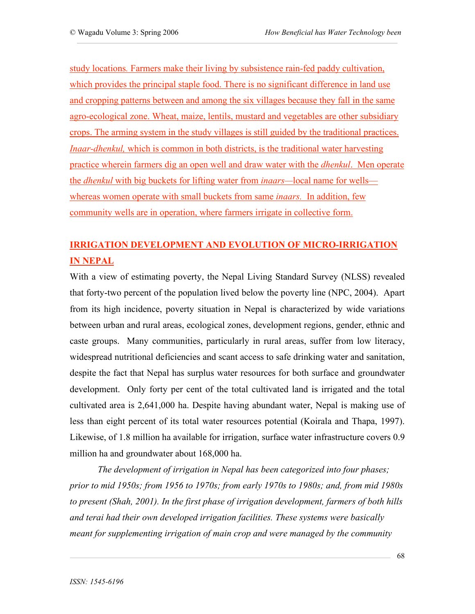study locations*.* Farmers make their living by subsistence rain-fed paddy cultivation, which provides the principal staple food. There is no significant difference in land use and cropping patterns between and among the six villages because they fall in the same agro-ecological zone. Wheat, maize, lentils, mustard and vegetables are other subsidiary crops. The arming system in the study villages is still guided by the traditional practices. *Inaar-dhenkul,* which is common in both districts, is the traditional water harvesting practice wherein farmers dig an open well and draw water with the *dhenkul*. Men operate the *dhenkul* with big buckets for lifting water from *inaars—*local name for wells whereas women operate with small buckets from same *inaars.* In addition, few community wells are in operation, where farmers irrigate in collective form.

# **IRRIGATION DEVELOPMENT AND EVOLUTION OF MICRO-IRRIGATION IN NEPAL**

With a view of estimating poverty, the Nepal Living Standard Survey (NLSS) revealed that forty-two percent of the population lived below the poverty line (NPC, 2004). Apart from its high incidence, poverty situation in Nepal is characterized by wide variations between urban and rural areas, ecological zones, development regions, gender, ethnic and caste groups. Many communities, particularly in rural areas, suffer from low literacy, widespread nutritional deficiencies and scant access to safe drinking water and sanitation, despite the fact that Nepal has surplus water resources for both surface and groundwater development. Only forty per cent of the total cultivated land is irrigated and the total cultivated area is 2,641,000 ha. Despite having abundant water, Nepal is making use of less than eight percent of its total water resources potential (Koirala and Thapa, 1997). Likewise, of 1.8 million ha available for irrigation, surface water infrastructure covers 0.9 million ha and groundwater about 168,000 ha.

*The development of irrigation in Nepal has been categorized into four phases; prior to mid 1950s; from 1956 to 1970s; from early 1970s to 1980s; and, from mid 1980s to present (Shah, 2001). In the first phase of irrigation development, farmers of both hills and terai had their own developed irrigation facilities. These systems were basically meant for supplementing irrigation of main crop and were managed by the community*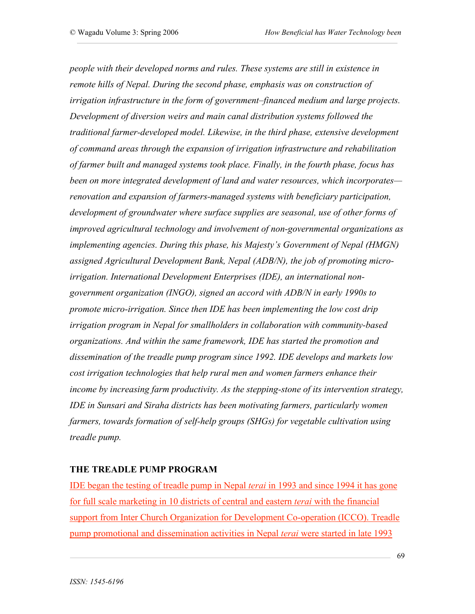*people with their developed norms and rules. These systems are still in existence in remote hills of Nepal. During the second phase, emphasis was on construction of irrigation infrastructure in the form of government–financed medium and large projects. Development of diversion weirs and main canal distribution systems followed the traditional farmer-developed model. Likewise, in the third phase, extensive development of command areas through the expansion of irrigation infrastructure and rehabilitation of farmer built and managed systems took place. Finally, in the fourth phase, focus has been on more integrated development of land and water resources, which incorporates renovation and expansion of farmers-managed systems with beneficiary participation, development of groundwater where surface supplies are seasonal, use of other forms of improved agricultural technology and involvement of non-governmental organizations as implementing agencies. During this phase, his Majesty's Government of Nepal (HMGN) assigned Agricultural Development Bank, Nepal (ADB/N), the job of promoting microirrigation. International Development Enterprises (IDE), an international nongovernment organization (INGO), signed an accord with ADB/N in early 1990s to promote micro-irrigation. Since then IDE has been implementing the low cost drip irrigation program in Nepal for smallholders in collaboration with community-based organizations. And within the same framework, IDE has started the promotion and dissemination of the treadle pump program since 1992. IDE develops and markets low cost irrigation technologies that help rural men and women farmers enhance their income by increasing farm productivity. As the stepping-stone of its intervention strategy, IDE in Sunsari and Siraha districts has been motivating farmers, particularly women farmers, towards formation of self-help groups (SHGs) for vegetable cultivation using treadle pump.*

#### **THE TREADLE PUMP PROGRAM**

IDE began the testing of treadle pump in Nepal *terai* in 1993 and since 1994 it has gone for full scale marketing in 10 districts of central and eastern *terai* with the financial support from Inter Church Organization for Development Co-operation (ICCO). Treadle pump promotional and dissemination activities in Nepal *terai* were started in late 1993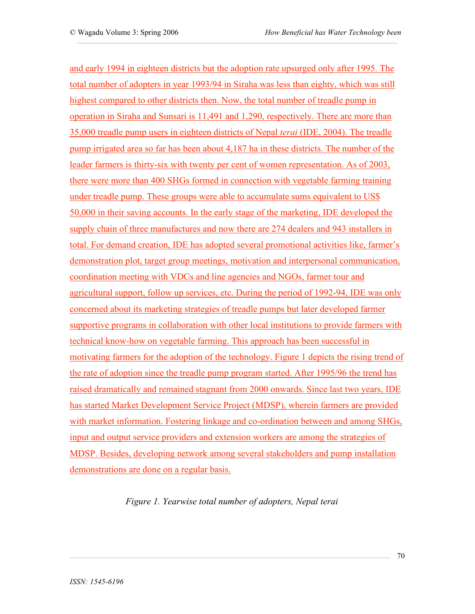and early 1994 in eighteen districts but the adoption rate upsurged only after 1995. The total number of adopters in year 1993/94 in Siraha was less than eighty, which was still highest compared to other districts then. Now, the total number of treadle pump in operation in Siraha and Sunsari is 11,491 and 1,290, respectively. There are more than 35,000 treadle pump users in eighteen districts of Nepal *terai* (IDE, 2004). The treadle pump irrigated area so far has been about 4,187 ha in these districts. The number of the leader farmers is thirty-six with twenty per cent of women representation. As of 2003, there were more than 400 SHGs formed in connection with vegetable farming training under treadle pump. These groups were able to accumulate sums equivalent to US\$ 50,000 in their saving accounts. In the early stage of the marketing, IDE developed the supply chain of three manufactures and now there are 274 dealers and 943 installers in total. For demand creation, IDE has adopted several promotional activities like, farmer's demonstration plot, target group meetings, motivation and interpersonal communication, coordination meeting with VDCs and line agencies and NGOs, farmer tour and agricultural support, follow up services, etc. During the period of 1992-94, IDE was only concerned about its marketing strategies of treadle pumps but later developed farmer supportive programs in collaboration with other local institutions to provide farmers with technical know-how on vegetable farming. This approach has been successful in motivating farmers for the adoption of the technology. Figure 1 depicts the rising trend of the rate of adoption since the treadle pump program started. After 1995/96 the trend has raised dramatically and remained stagnant from 2000 onwards. Since last two years, IDE has started Market Development Service Project (MDSP), wherein farmers are provided with market information. Fostering linkage and co-ordination between and among SHGs, input and output service providers and extension workers are among the strategies of MDSP. Besides, developing network among several stakeholders and pump installation demonstrations are done on a regular basis.

*Figure 1. Yearwise total number of adopters, Nepal terai*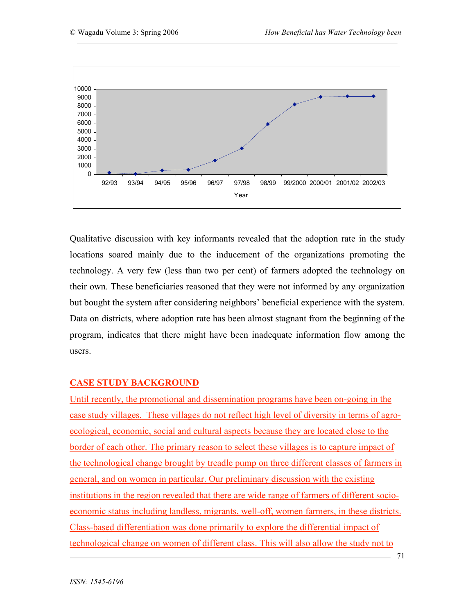

Qualitative discussion with key informants revealed that the adoption rate in the study locations soared mainly due to the inducement of the organizations promoting the technology. A very few (less than two per cent) of farmers adopted the technology on their own. These beneficiaries reasoned that they were not informed by any organization but bought the system after considering neighbors' beneficial experience with the system. Data on districts, where adoption rate has been almost stagnant from the beginning of the program, indicates that there might have been inadequate information flow among the users.

#### **CASE STUDY BACKGROUND**

Until recently, the promotional and dissemination programs have been on-going in the case study villages. These villages do not reflect high level of diversity in terms of agroecological, economic, social and cultural aspects because they are located close to the border of each other. The primary reason to select these villages is to capture impact of the technological change brought by treadle pump on three different classes of farmers in general, and on women in particular. Our preliminary discussion with the existing institutions in the region revealed that there are wide range of farmers of different socioeconomic status including landless, migrants, well-off, women farmers, in these districts. Class-based differentiation was done primarily to explore the differential impact of technological change on women of different class. This will also allow the study not to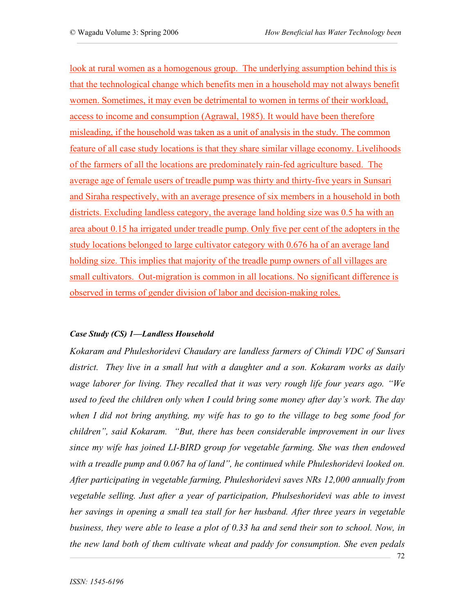look at rural women as a homogenous group. The underlying assumption behind this is that the technological change which benefits men in a household may not always benefit women. Sometimes, it may even be detrimental to women in terms of their workload, access to income and consumption (Agrawal, 1985). It would have been therefore misleading, if the household was taken as a unit of analysis in the study. The common feature of all case study locations is that they share similar village economy. Livelihoods of the farmers of all the locations are predominately rain-fed agriculture based. The average age of female users of treadle pump was thirty and thirty-five years in Sunsari and Siraha respectively, with an average presence of six members in a household in both districts. Excluding landless category, the average land holding size was 0.5 ha with an area about 0.15 ha irrigated under treadle pump. Only five per cent of the adopters in the study locations belonged to large cultivator category with 0.676 ha of an average land holding size. This implies that majority of the treadle pump owners of all villages are small cultivators. Out-migration is common in all locations. No significant difference is observed in terms of gender division of labor and decision-making roles.

#### *Case Study (CS) 1—Landless Household*

*Kokaram and Phuleshoridevi Chaudary are landless farmers of Chimdi VDC of Sunsari district. They live in a small hut with a daughter and a son. Kokaram works as daily wage laborer for living. They recalled that it was very rough life four years ago. "We used to feed the children only when I could bring some money after day's work. The day when I did not bring anything, my wife has to go to the village to beg some food for children", said Kokaram. "But, there has been considerable improvement in our lives since my wife has joined LI-BIRD group for vegetable farming. She was then endowed with a treadle pump and 0.067 ha of land", he continued while Phuleshoridevi looked on. After participating in vegetable farming, Phuleshoridevi saves NRs 12,000 annually from vegetable selling. Just after a year of participation, Phulseshoridevi was able to invest her savings in opening a small tea stall for her husband. After three years in vegetable business, they were able to lease a plot of 0.33 ha and send their son to school. Now, in the new land both of them cultivate wheat and paddy for consumption. She even pedals*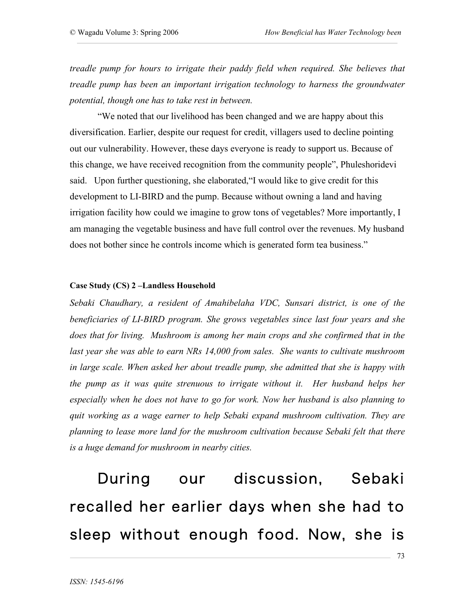*treadle pump for hours to irrigate their paddy field when required. She believes that treadle pump has been an important irrigation technology to harness the groundwater potential, though one has to take rest in between.* 

"We noted that our livelihood has been changed and we are happy about this diversification. Earlier, despite our request for credit, villagers used to decline pointing out our vulnerability. However, these days everyone is ready to support us. Because of this change, we have received recognition from the community people", Phuleshoridevi said. Upon further questioning, she elaborated,"I would like to give credit for this development to LI-BIRD and the pump. Because without owning a land and having irrigation facility how could we imagine to grow tons of vegetables? More importantly, I am managing the vegetable business and have full control over the revenues. My husband does not bother since he controls income which is generated form tea business."

#### **Case Study (CS) 2 –Landless Household**

*Sebaki Chaudhary, a resident of Amahibelaha VDC, Sunsari district, is one of the beneficiaries of LI-BIRD program. She grows vegetables since last four years and she does that for living. Mushroom is among her main crops and she confirmed that in the last year she was able to earn NRs 14,000 from sales. She wants to cultivate mushroom in large scale. When asked her about treadle pump, she admitted that she is happy with the pump as it was quite strenuous to irrigate without it. Her husband helps her especially when he does not have to go for work. Now her husband is also planning to quit working as a wage earner to help Sebaki expand mushroom cultivation. They are planning to lease more land for the mushroom cultivation because Sebaki felt that there is a huge demand for mushroom in nearby cities.* 

 During our discussion, Sebaki recalled her earlier days when she had to sleep without enough food. Now, she is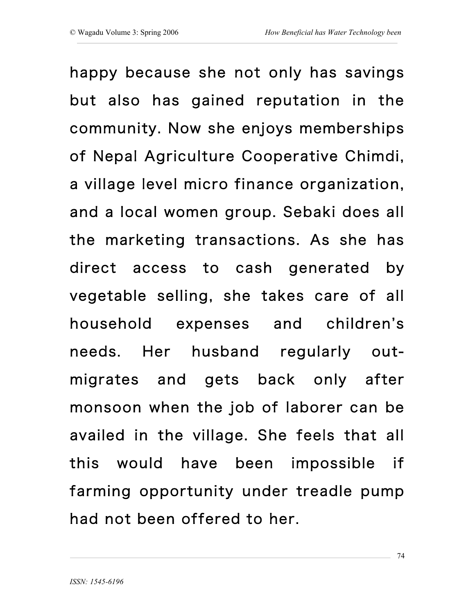happy because she not only has savings but also has gained reputation in the community. Now she enjoys memberships of Nepal Agriculture Cooperative Chimdi, a village level micro finance organization, and a local women group. Sebaki does all the marketing transactions. As she has direct access to cash generated by vegetable selling, she takes care of all household expenses and children's needs. Her husband regularly outmigrates and gets back only after monsoon when the job of laborer can be availed in the village. She feels that all this would have been impossible if farming opportunity under treadle pump had not been offered to her.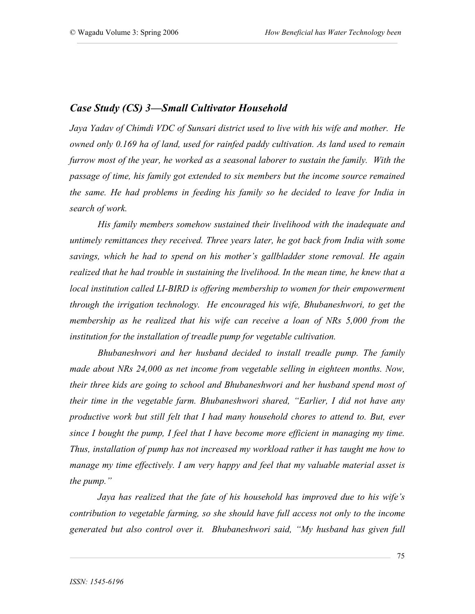## *Case Study (CS) 3—Small Cultivator Household*

*Jaya Yadav of Chimdi VDC of Sunsari district used to live with his wife and mother. He owned only 0.169 ha of land, used for rainfed paddy cultivation. As land used to remain furrow most of the year, he worked as a seasonal laborer to sustain the family. With the passage of time, his family got extended to six members but the income source remained the same. He had problems in feeding his family so he decided to leave for India in search of work.*

*His family members somehow sustained their livelihood with the inadequate and untimely remittances they received. Three years later, he got back from India with some savings, which he had to spend on his mother's gallbladder stone removal. He again realized that he had trouble in sustaining the livelihood. In the mean time, he knew that a local institution called LI-BIRD is offering membership to women for their empowerment through the irrigation technology. He encouraged his wife, Bhubaneshwori, to get the membership as he realized that his wife can receive a loan of NRs 5,000 from the institution for the installation of treadle pump for vegetable cultivation.* 

*Bhubaneshwori and her husband decided to install treadle pump. The family made about NRs 24,000 as net income from vegetable selling in eighteen months. Now, their three kids are going to school and Bhubaneshwori and her husband spend most of their time in the vegetable farm. Bhubaneshwori shared, "Earlier, I did not have any productive work but still felt that I had many household chores to attend to. But, ever since I bought the pump, I feel that I have become more efficient in managing my time. Thus, installation of pump has not increased my workload rather it has taught me how to manage my time effectively. I am very happy and feel that my valuable material asset is the pump."*

*Jaya has realized that the fate of his household has improved due to his wife's contribution to vegetable farming, so she should have full access not only to the income generated but also control over it. Bhubaneshwori said, "My husband has given full*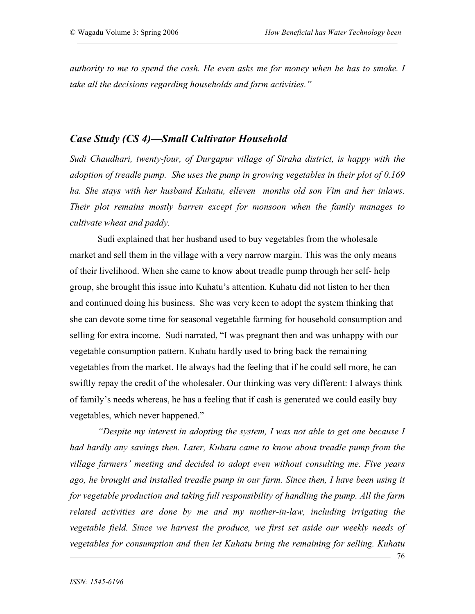*authority to me to spend the cash. He even asks me for money when he has to smoke. I take all the decisions regarding households and farm activities."*

## *Case Study (CS 4)—Small Cultivator Household*

*Sudi Chaudhari, twenty-four, of Durgapur village of Siraha district, is happy with the adoption of treadle pump. She uses the pump in growing vegetables in their plot of 0.169 ha. She stays with her husband Kuhatu, elleven months old son Vim and her inlaws. Their plot remains mostly barren except for monsoon when the family manages to cultivate wheat and paddy.* 

Sudi explained that her husband used to buy vegetables from the wholesale market and sell them in the village with a very narrow margin. This was the only means of their livelihood. When she came to know about treadle pump through her self- help group, she brought this issue into Kuhatu's attention. Kuhatu did not listen to her then and continued doing his business. She was very keen to adopt the system thinking that she can devote some time for seasonal vegetable farming for household consumption and selling for extra income. Sudi narrated, "I was pregnant then and was unhappy with our vegetable consumption pattern. Kuhatu hardly used to bring back the remaining vegetables from the market. He always had the feeling that if he could sell more, he can swiftly repay the credit of the wholesaler. Our thinking was very different: I always think of family's needs whereas, he has a feeling that if cash is generated we could easily buy vegetables, which never happened."

*"Despite my interest in adopting the system, I was not able to get one because I had hardly any savings then. Later, Kuhatu came to know about treadle pump from the village farmers' meeting and decided to adopt even without consulting me. Five years ago, he brought and installed treadle pump in our farm. Since then, I have been using it for vegetable production and taking full responsibility of handling the pump. All the farm related activities are done by me and my mother-in-law, including irrigating the vegetable field. Since we harvest the produce, we first set aside our weekly needs of vegetables for consumption and then let Kuhatu bring the remaining for selling. Kuhatu*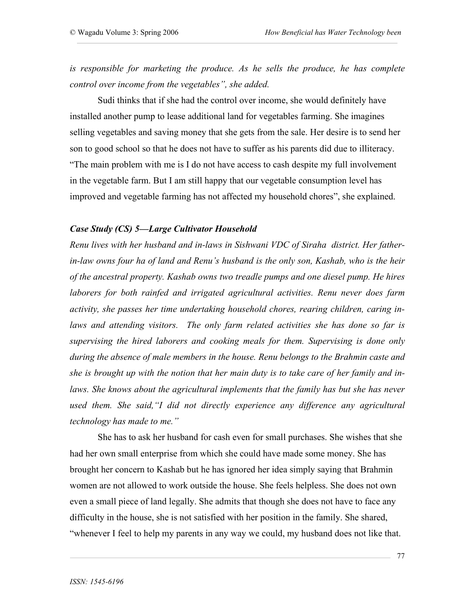*is responsible for marketing the produce. As he sells the produce, he has complete control over income from the vegetables", she added.*

Sudi thinks that if she had the control over income, she would definitely have installed another pump to lease additional land for vegetables farming. She imagines selling vegetables and saving money that she gets from the sale. Her desire is to send her son to good school so that he does not have to suffer as his parents did due to illiteracy. "The main problem with me is I do not have access to cash despite my full involvement in the vegetable farm. But I am still happy that our vegetable consumption level has improved and vegetable farming has not affected my household chores", she explained.

#### *Case Study (CS) 5—Large Cultivator Household*

*Renu lives with her husband and in-laws in Sishwani VDC of Siraha district. Her fatherin-law owns four ha of land and Renu's husband is the only son, Kashab, who is the heir of the ancestral property. Kashab owns two treadle pumps and one diesel pump. He hires laborers for both rainfed and irrigated agricultural activities. Renu never does farm activity, she passes her time undertaking household chores, rearing children, caring inlaws and attending visitors. The only farm related activities she has done so far is supervising the hired laborers and cooking meals for them. Supervising is done only during the absence of male members in the house. Renu belongs to the Brahmin caste and she is brought up with the notion that her main duty is to take care of her family and inlaws. She knows about the agricultural implements that the family has but she has never used them. She said,"I did not directly experience any difference any agricultural technology has made to me."*

She has to ask her husband for cash even for small purchases. She wishes that she had her own small enterprise from which she could have made some money. She has brought her concern to Kashab but he has ignored her idea simply saying that Brahmin women are not allowed to work outside the house. She feels helpless. She does not own even a small piece of land legally. She admits that though she does not have to face any difficulty in the house, she is not satisfied with her position in the family. She shared, "whenever I feel to help my parents in any way we could, my husband does not like that.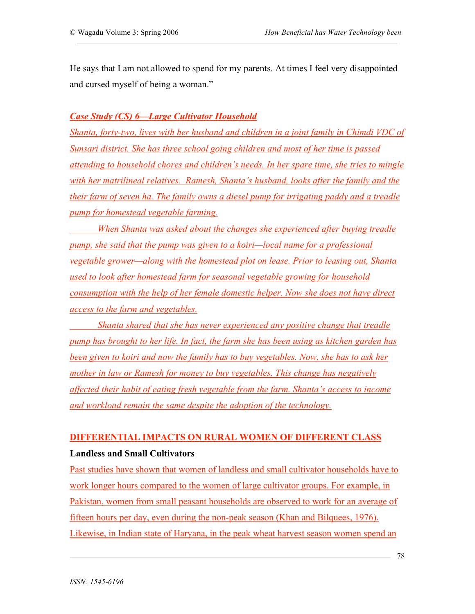He says that I am not allowed to spend for my parents. At times I feel very disappointed and cursed myself of being a woman."

### *Case Study (CS) 6—Large Cultivator Household*

*Shanta, forty-two, lives with her husband and children in a joint family in Chimdi VDC of Sunsari district. She has three school going children and most of her time is passed attending to household chores and children's needs. In her spare time, she tries to mingle with her matrilineal relatives. Ramesh, Shanta's husband, looks after the family and the their farm of seven ha. The family owns a diesel pump for irrigating paddy and a treadle pump for homestead vegetable farming.* 

*When Shanta was asked about the changes she experienced after buying treadle pump, she said that the pump was given to a koiri—local name for a professional vegetable grower—along with the homestead plot on lease. Prior to leasing out, Shanta used to look after homestead farm for seasonal vegetable growing for household consumption with the help of her female domestic helper. Now she does not have direct access to the farm and vegetables.* 

*Shanta shared that she has never experienced any positive change that treadle pump has brought to her life. In fact, the farm she has been using as kitchen garden has been given to koiri and now the family has to buy vegetables. Now, she has to ask her mother in law or Ramesh for money to buy vegetables. This change has negatively affected their habit of eating fresh vegetable from the farm. Shanta's access to income and workload remain the same despite the adoption of the technology.* 

## **DIFFERENTIAL IMPACTS ON RURAL WOMEN OF DIFFERENT CLASS Landless and Small Cultivators**

Past studies have shown that women of landless and small cultivator households have to work longer hours compared to the women of large cultivator groups. For example, in Pakistan, women from small peasant households are observed to work for an average of fifteen hours per day, even during the non-peak season (Khan and Bilquees, 1976). Likewise, in Indian state of Haryana, in the peak wheat harvest season women spend an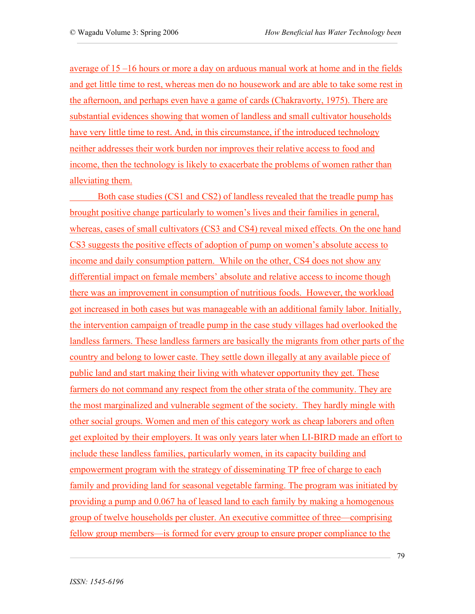average of 15 –16 hours or more a day on arduous manual work at home and in the fields and get little time to rest, whereas men do no housework and are able to take some rest in the afternoon, and perhaps even have a game of cards (Chakravorty, 1975). There are substantial evidences showing that women of landless and small cultivator households have very little time to rest. And, in this circumstance, if the introduced technology neither addresses their work burden nor improves their relative access to food and income, then the technology is likely to exacerbate the problems of women rather than alleviating them.

Both case studies (CS1 and CS2) of landless revealed that the treadle pump has brought positive change particularly to women's lives and their families in general, whereas, cases of small cultivators (CS3 and CS4) reveal mixed effects. On the one hand CS3 suggests the positive effects of adoption of pump on women's absolute access to income and daily consumption pattern. While on the other, CS4 does not show any differential impact on female members' absolute and relative access to income though there was an improvement in consumption of nutritious foods. However, the workload got increased in both cases but was manageable with an additional family labor. Initially, the intervention campaign of treadle pump in the case study villages had overlooked the landless farmers. These landless farmers are basically the migrants from other parts of the country and belong to lower caste. They settle down illegally at any available piece of public land and start making their living with whatever opportunity they get. These farmers do not command any respect from the other strata of the community. They are the most marginalized and vulnerable segment of the society. They hardly mingle with other social groups. Women and men of this category work as cheap laborers and often get exploited by their employers. It was only years later when LI-BIRD made an effort to include these landless families, particularly women, in its capacity building and empowerment program with the strategy of disseminating TP free of charge to each family and providing land for seasonal vegetable farming. The program was initiated by providing a pump and 0.067 ha of leased land to each family by making a homogenous group of twelve households per cluster. An executive committee of three—comprising fellow group members—is formed for every group to ensure proper compliance to the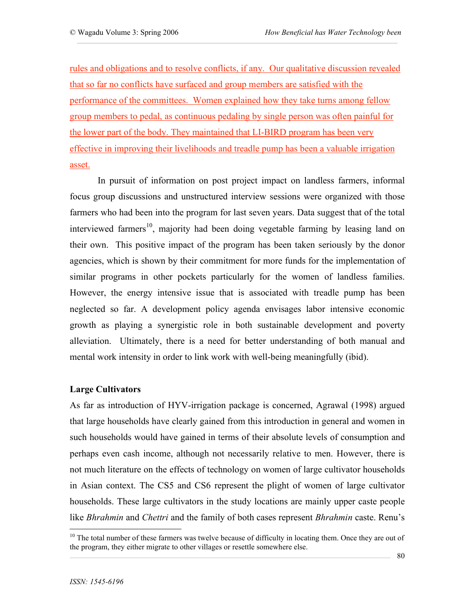rules and obligations and to resolve conflicts, if any. Our qualitative discussion revealed that so far no conflicts have surfaced and group members are satisfied with the performance of the committees. Women explained how they take turns among fellow group members to pedal, as continuous pedaling by single person was often painful for the lower part of the body. They maintained that LI-BIRD program has been very effective in improving their livelihoods and treadle pump has been a valuable irrigation asset.

In pursuit of information on post project impact on landless farmers, informal focus group discussions and unstructured interview sessions were organized with those farmers who had been into the program for last seven years. Data suggest that of the total interviewed farmers<sup>10</sup>, majority had been doing vegetable farming by leasing land on their own. This positive impact of the program has been taken seriously by the donor agencies, which is shown by their commitment for more funds for the implementation of similar programs in other pockets particularly for the women of landless families. However, the energy intensive issue that is associated with treadle pump has been neglected so far. A development policy agenda envisages labor intensive economic growth as playing a synergistic role in both sustainable development and poverty alleviation. Ultimately, there is a need for better understanding of both manual and mental work intensity in order to link work with well-being meaningfully (ibid).

#### **Large Cultivators**

As far as introduction of HYV-irrigation package is concerned, Agrawal (1998) argued that large households have clearly gained from this introduction in general and women in such households would have gained in terms of their absolute levels of consumption and perhaps even cash income, although not necessarily relative to men. However, there is not much literature on the effects of technology on women of large cultivator households in Asian context. The CS5 and CS6 represent the plight of women of large cultivator households. These large cultivators in the study locations are mainly upper caste people like *Bhrahmin* and *Chettri* and the family of both cases represent *Bhrahmin* caste. Renu's

<sup>&</sup>lt;sup>10</sup> The total number of these farmers was twelve because of difficulty in locating them. Once they are out of the program, they either migrate to other villages or resettle somewhere else.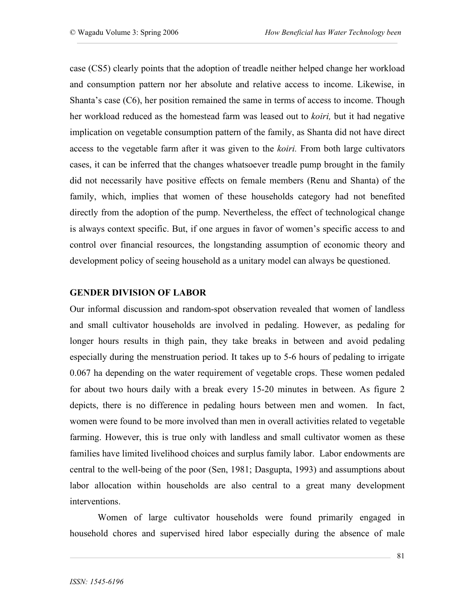case (CS5) clearly points that the adoption of treadle neither helped change her workload and consumption pattern nor her absolute and relative access to income. Likewise, in Shanta's case (C6), her position remained the same in terms of access to income. Though her workload reduced as the homestead farm was leased out to *koiri,* but it had negative implication on vegetable consumption pattern of the family, as Shanta did not have direct access to the vegetable farm after it was given to the *koiri.* From both large cultivators cases, it can be inferred that the changes whatsoever treadle pump brought in the family did not necessarily have positive effects on female members (Renu and Shanta) of the family, which, implies that women of these households category had not benefited directly from the adoption of the pump. Nevertheless, the effect of technological change is always context specific. But, if one argues in favor of women's specific access to and control over financial resources, the longstanding assumption of economic theory and development policy of seeing household as a unitary model can always be questioned.

### **GENDER DIVISION OF LABOR**

Our informal discussion and random-spot observation revealed that women of landless and small cultivator households are involved in pedaling. However, as pedaling for longer hours results in thigh pain, they take breaks in between and avoid pedaling especially during the menstruation period. It takes up to 5-6 hours of pedaling to irrigate 0.067 ha depending on the water requirement of vegetable crops. These women pedaled for about two hours daily with a break every 15-20 minutes in between. As figure 2 depicts, there is no difference in pedaling hours between men and women. In fact, women were found to be more involved than men in overall activities related to vegetable farming. However, this is true only with landless and small cultivator women as these families have limited livelihood choices and surplus family labor. Labor endowments are central to the well-being of the poor (Sen, 1981; Dasgupta, 1993) and assumptions about labor allocation within households are also central to a great many development interventions.

Women of large cultivator households were found primarily engaged in household chores and supervised hired labor especially during the absence of male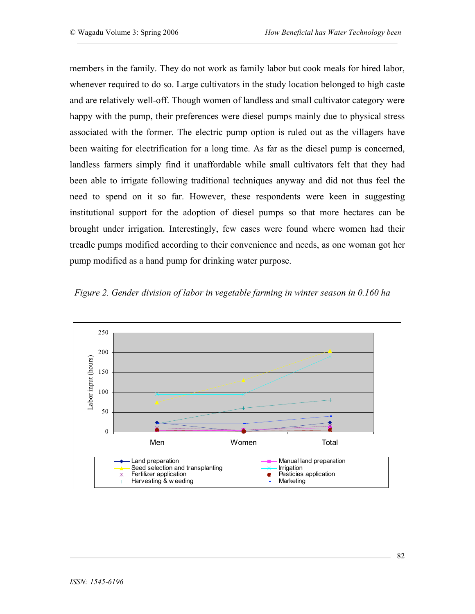members in the family. They do not work as family labor but cook meals for hired labor, whenever required to do so. Large cultivators in the study location belonged to high caste and are relatively well-off. Though women of landless and small cultivator category were happy with the pump, their preferences were diesel pumps mainly due to physical stress associated with the former. The electric pump option is ruled out as the villagers have been waiting for electrification for a long time. As far as the diesel pump is concerned, landless farmers simply find it unaffordable while small cultivators felt that they had been able to irrigate following traditional techniques anyway and did not thus feel the need to spend on it so far. However, these respondents were keen in suggesting institutional support for the adoption of diesel pumps so that more hectares can be brought under irrigation. Interestingly, few cases were found where women had their treadle pumps modified according to their convenience and needs, as one woman got her pump modified as a hand pump for drinking water purpose.



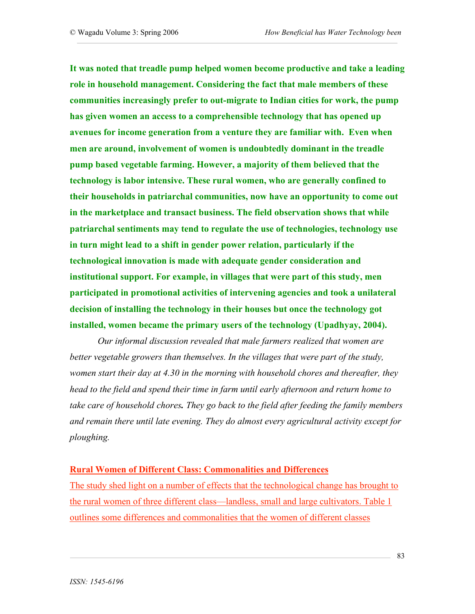**It was noted that treadle pump helped women become productive and take a leading role in household management. Considering the fact that male members of these communities increasingly prefer to out-migrate to Indian cities for work, the pump has given women an access to a comprehensible technology that has opened up avenues for income generation from a venture they are familiar with. Even when men are around, involvement of women is undoubtedly dominant in the treadle pump based vegetable farming. However, a majority of them believed that the technology is labor intensive. These rural women, who are generally confined to their households in patriarchal communities, now have an opportunity to come out in the marketplace and transact business. The field observation shows that while patriarchal sentiments may tend to regulate the use of technologies, technology use in turn might lead to a shift in gender power relation, particularly if the technological innovation is made with adequate gender consideration and institutional support. For example, in villages that were part of this study, men participated in promotional activities of intervening agencies and took a unilateral decision of installing the technology in their houses but once the technology got installed, women became the primary users of the technology (Upadhyay, 2004).** 

*Our informal discussion revealed that male farmers realized that women are better vegetable growers than themselves. In the villages that were part of the study, women start their day at 4.30 in the morning with household chores and thereafter, they head to the field and spend their time in farm until early afternoon and return home to take care of household chores. They go back to the field after feeding the family members and remain there until late evening. They do almost every agricultural activity except for ploughing.* 

## **Rural Women of Different Class: Commonalities and Differences**

The study shed light on a number of effects that the technological change has brought to the rural women of three different class—landless, small and large cultivators. Table 1 outlines some differences and commonalities that the women of different classes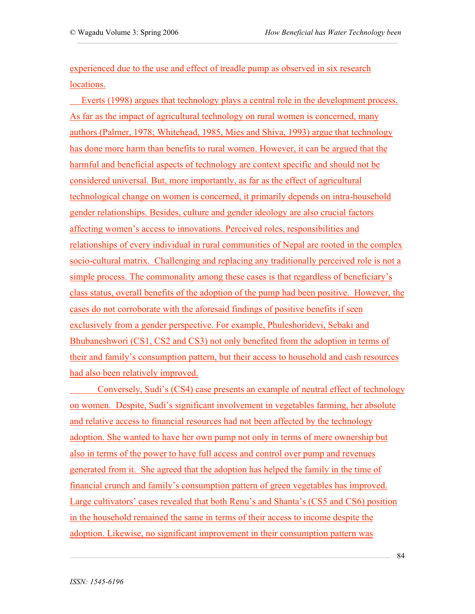experienced due to the use and effect of treadle pump as observed in six research locations.

 Everts (1998) argues that technology plays a central role in the development process. As far as the impact of agricultural technology on rural women is concerned, many authors (Palmer, 1978; Whitehead, 1985, Mies and Shiva, 1993) argue that technology has done more harm than benefits to rural women. However, it can be argued that the harmful and beneficial aspects of technology are context specific and should not be considered universal. But, more importantly, as far as the effect of agricultural technological change on women is concerned, it primarily depends on intra-household gender relationships. Besides, culture and gender ideology are also crucial factors affecting women's access to innovations. Perceived roles, responsibilities and relationships of every individual in rural communities of Nepal are rooted in the complex socio-cultural matrix. Challenging and replacing any traditionally perceived role is not a simple process. The commonality among these cases is that regardless of beneficiary's class status, overall benefits of the adoption of the pump had been positive. However, the cases do not corroborate with the aforesaid findings of positive benefits if seen exclusively from a gender perspective. For example, Phuleshoridevi, Sebaki and Bhubaneshwori (CS1, CS2 and CS3) not only benefited from the adoption in terms of their and family's consumption pattern, but their access to household and cash resources had also been relatively improved.

Conversely, Sudi's (CS4) case presents an example of neutral effect of technology on women. Despite, Sudi's significant involvement in vegetables farming, her absolute and relative access to financial resources had not been affected by the technology adoption. She wanted to have her own pump not only in terms of mere ownership but also in terms of the power to have full access and control over pump and revenues generated from it. She agreed that the adoption has helped the family in the time of financial crunch and family's consumption pattern of green vegetables has improved. Large cultivators' cases revealed that both Renu's and Shanta's (CS5 and CS6) position in the household remained the same in terms of their access to income despite the adoption. Likewise, no significant improvement in their consumption pattern was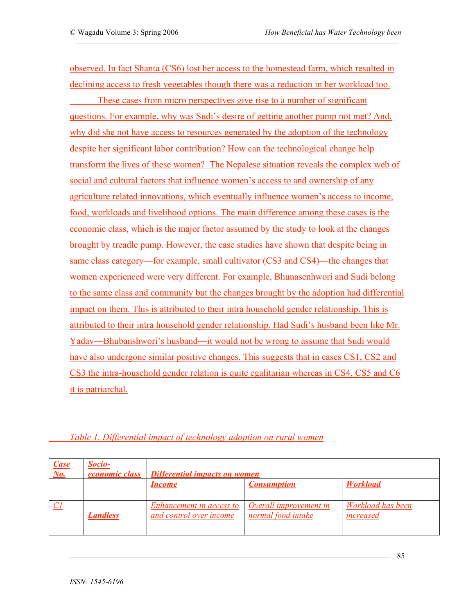observed. In fact Shanta (CS6) lost her access to the homestead farm, which resulted in declining access to fresh vegetables though there was a reduction in her workload too.

These cases from micro perspectives give rise to a number of significant questions. For example, why was Sudi's desire of getting another pump not met? And, why did she not have access to resources generated by the adoption of the technology despite her significant labor contribution? How can the technological change help transform the lives of these women? The Nepalese situation reveals the complex web of social and cultural factors that influence women's access to and ownership of any agriculture related innovations, which eventually influence women's access to income, food, workloads and livelihood options. The main difference among these cases is the economic class, which is the major factor assumed by the study to look at the changes brought by treadle pump. However, the case studies have shown that despite being in same class category—for example, small cultivator (CS3 and CS4)—the changes that women experienced were very different. For example, Bhunasenhwori and Sudi belong to the same class and community but the changes brought by the adoption had differential impact on them. This is attributed to their intra household gender relationship. This is attributed to their intra household gender relationship. Had Sudi's husband been like Mr. Yadav—Bhubanshwori's husband—it would not be wrong to assume that Sudi would have also undergone similar positive changes. This suggests that in cases CS1, CS2 and CS3 the intra-household gender relation is quite egalitarian whereas in CS4, CS5 and C6 it is patriarchal.

| $\frac{Case}{No.}$ | Socio-<br><i>economic class</i> | Differential impacts on women                       |                                              |                                |  |
|--------------------|---------------------------------|-----------------------------------------------------|----------------------------------------------|--------------------------------|--|
|                    |                                 | <i>Income</i>                                       | <b>Consumption</b>                           | <b>Workload</b>                |  |
|                    | <b>Landless</b>                 | Enhancement in access to<br>and control over income | Overall improvement in<br>normal food intake | Workload has been<br>increased |  |

## *Table 1. Differential impact of technology adoption on rural women*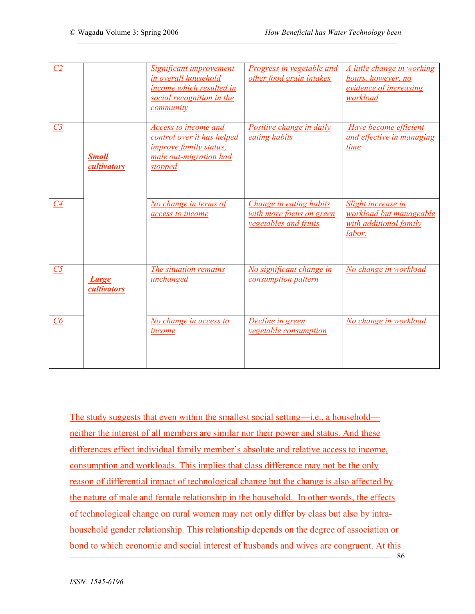| $\overline{C}2$ |                             | Significant improvement<br>in overall household<br>income which resulted in<br>social recognition in the<br><i>community</i>    | Progress in vegetable and<br>other food grain intakes                               | A little change in working<br>hours, however, no<br>evidence of increasing<br>workload |
|-----------------|-----------------------------|---------------------------------------------------------------------------------------------------------------------------------|-------------------------------------------------------------------------------------|----------------------------------------------------------------------------------------|
| C <sub>3</sub>  | <b>Small</b><br>cultivators | Access to income and<br>control over it has helped<br><i>improve family status;</i><br>male out-migration had<br><i>stopped</i> | Positive change in daily<br>eating habits                                           | Have become efficient<br>and effective in managing<br>time                             |
| C4              |                             | No change in terms of<br>access to income                                                                                       | Change in eating habits<br>with more focus on green<br><i>vegetables and fruits</i> | Slight increase in<br>workload but manageable<br>with additional family<br>labor.      |
| C <sub>5</sub>  | Large<br>cultivators        | The situation remains<br>unchanged                                                                                              | No significant change in<br>consumption pattern                                     | No change in workload                                                                  |
| C6              |                             | No change in access to<br><i>income</i>                                                                                         | <b>Decline in green</b><br><i>vegetable consumption</i>                             | No change in workload                                                                  |

86 The study suggests that even within the smallest social setting—i.e., a household neither the interest of all members are similar nor their power and status. And these differences effect individual family member's absolute and relative access to income, consumption and workloads. This implies that class difference may not be the only reason of differential impact of technological change but the change is also affected by the nature of male and female relationship in the household. In other words, the effects of technological change on rural women may not only differ by class but also by intrahousehold gender relationship. This relationship depends on the degree of association or bond to which economic and social interest of husbands and wives are congruent. At this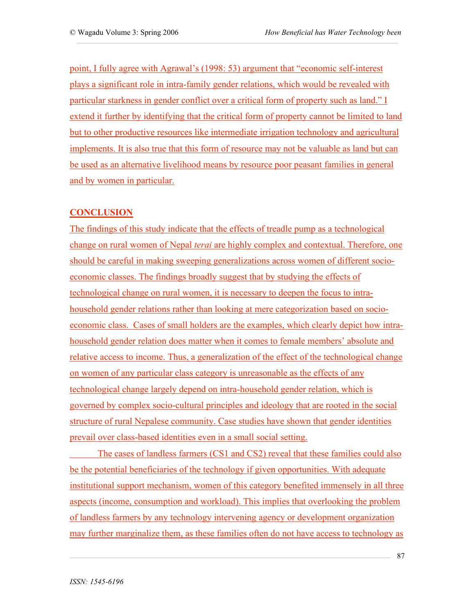point, I fully agree with Agrawal's (1998: 53) argument that "economic self-interest plays a significant role in intra-family gender relations, which would be revealed with particular starkness in gender conflict over a critical form of property such as land." I extend it further by identifying that the critical form of property cannot be limited to land but to other productive resources like intermediate irrigation technology and agricultural implements. It is also true that this form of resource may not be valuable as land but can be used as an alternative livelihood means by resource poor peasant families in general and by women in particular.

## **CONCLUSION**

The findings of this study indicate that the effects of treadle pump as a technological change on rural women of Nepal *terai* are highly complex and contextual. Therefore, one should be careful in making sweeping generalizations across women of different socioeconomic classes. The findings broadly suggest that by studying the effects of technological change on rural women, it is necessary to deepen the focus to intrahousehold gender relations rather than looking at mere categorization based on socioeconomic class. Cases of small holders are the examples, which clearly depict how intrahousehold gender relation does matter when it comes to female members' absolute and relative access to income. Thus, a generalization of the effect of the technological change on women of any particular class category is unreasonable as the effects of any technological change largely depend on intra-household gender relation, which is governed by complex socio-cultural principles and ideology that are rooted in the social structure of rural Nepalese community. Case studies have shown that gender identities prevail over class-based identities even in a small social setting.

The cases of landless farmers (CS1 and CS2) reveal that these families could also be the potential beneficiaries of the technology if given opportunities. With adequate institutional support mechanism, women of this category benefited immensely in all three aspects (income, consumption and workload). This implies that overlooking the problem of landless farmers by any technology intervening agency or development organization may further marginalize them, as these families often do not have access to technology as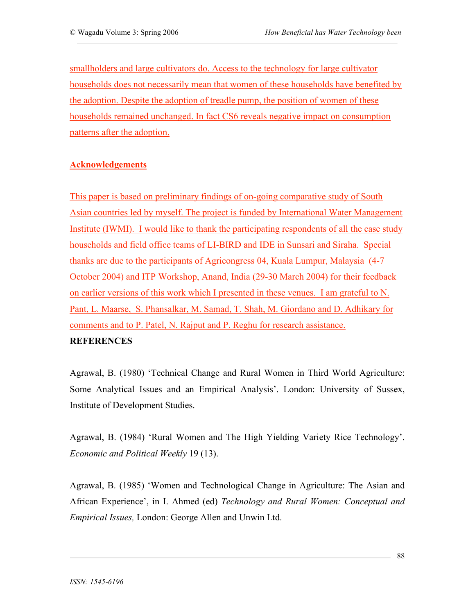smallholders and large cultivators do. Access to the technology for large cultivator households does not necessarily mean that women of these households have benefited by the adoption. Despite the adoption of treadle pump, the position of women of these households remained unchanged. In fact CS6 reveals negative impact on consumption patterns after the adoption.

## **Acknowledgements**

This paper is based on preliminary findings of on-going comparative study of South Asian countries led by myself. The project is funded by International Water Management Institute (IWMI). I would like to thank the participating respondents of all the case study households and field office teams of LI-BIRD and IDE in Sunsari and Siraha. Special thanks are due to the participants of Agricongress 04, Kuala Lumpur, Malaysia (4-7 October 2004) and ITP Workshop, Anand, India (29-30 March 2004) for their feedback on earlier versions of this work which I presented in these venues. I am grateful to N. Pant, L. Maarse, S. Phansalkar, M. Samad, T. Shah, M. Giordano and D. Adhikary for comments and to P. Patel, N. Rajput and P. Reghu for research assistance. **REFERENCES** 

Agrawal, B. (1980) 'Technical Change and Rural Women in Third World Agriculture: Some Analytical Issues and an Empirical Analysis'. London: University of Sussex, Institute of Development Studies.

Agrawal, B. (1984) 'Rural Women and The High Yielding Variety Rice Technology'. *Economic and Political Weekly* 19 (13).

Agrawal, B. (1985) 'Women and Technological Change in Agriculture: The Asian and African Experience', in I. Ahmed (ed) *Technology and Rural Women: Conceptual and Empirical Issues,* London: George Allen and Unwin Ltd.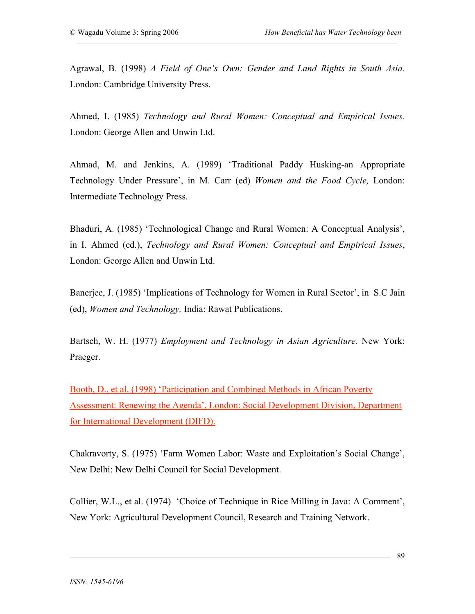Agrawal, B. (1998) *A Field of One's Own: Gender and Land Rights in South Asia.* London: Cambridge University Press.

Ahmed, I. (1985) *Technology and Rural Women: Conceptual and Empirical Issues.* London: George Allen and Unwin Ltd.

Ahmad, M. and Jenkins, A. (1989) 'Traditional Paddy Husking-an Appropriate Technology Under Pressure', in M. Carr (ed) *Women and the Food Cycle,* London: Intermediate Technology Press.

Bhaduri, A. (1985) 'Technological Change and Rural Women: A Conceptual Analysis', in I. Ahmed (ed.), *Technology and Rural Women: Conceptual and Empirical Issues*, London: George Allen and Unwin Ltd.

Banerjee, J. (1985) 'Implications of Technology for Women in Rural Sector', in S.C Jain (ed), *Women and Technology,* India: Rawat Publications.

Bartsch, W. H. (1977) *Employment and Technology in Asian Agriculture.* New York: Praeger.

Booth, D., et al. (1998) 'Participation and Combined Methods in African Poverty Assessment: Renewing the Agenda', London: Social Development Division, Department for International Development (DIFD).

Chakravorty, S. (1975) 'Farm Women Labor: Waste and Exploitation's Social Change', New Delhi: New Delhi Council for Social Development.

Collier, W.L., et al. (1974) 'Choice of Technique in Rice Milling in Java: A Comment', New York: Agricultural Development Council, Research and Training Network.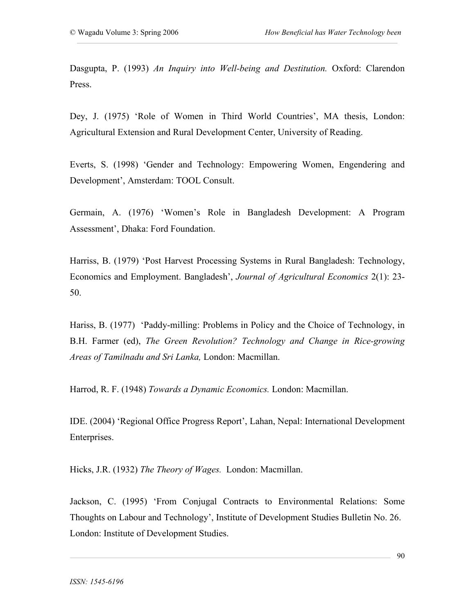Dasgupta, P. (1993) *An Inquiry into Well-being and Destitution.* Oxford: Clarendon Press.

Dey, J. (1975) 'Role of Women in Third World Countries', MA thesis, London: Agricultural Extension and Rural Development Center, University of Reading.

Everts, S. (1998) 'Gender and Technology: Empowering Women, Engendering and Development', Amsterdam: TOOL Consult.

Germain, A. (1976) 'Women's Role in Bangladesh Development: A Program Assessment', Dhaka: Ford Foundation.

Harriss, B. (1979) 'Post Harvest Processing Systems in Rural Bangladesh: Technology, Economics and Employment. Bangladesh', *Journal of Agricultural Economics* 2(1): 23- 50.

Hariss, B. (1977) 'Paddy-milling: Problems in Policy and the Choice of Technology, in B.H. Farmer (ed), *The Green Revolution? Technology and Change in Rice-growing Areas of Tamilnadu and Sri Lanka,* London: Macmillan.

Harrod, R. F. (1948) *Towards a Dynamic Economics.* London: Macmillan.

IDE. (2004) 'Regional Office Progress Report', Lahan, Nepal: International Development Enterprises.

Hicks, J.R. (1932) *The Theory of Wages.* London: Macmillan.

Jackson, C. (1995) 'From Conjugal Contracts to Environmental Relations: Some Thoughts on Labour and Technology', Institute of Development Studies Bulletin No. 26. London: Institute of Development Studies.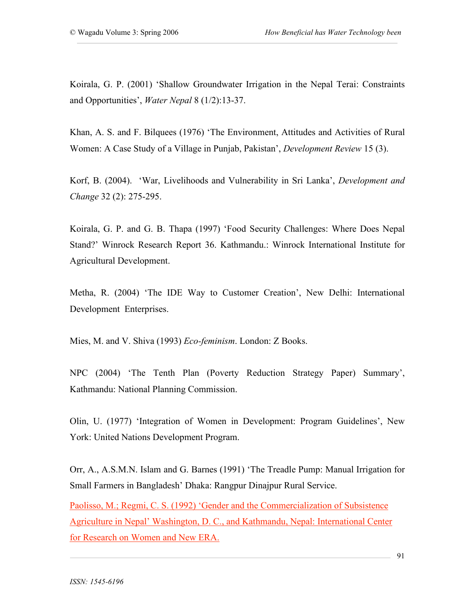Koirala, G. P. (2001) 'Shallow Groundwater Irrigation in the Nepal Terai: Constraints and Opportunities', *Water Nepal* 8 (1/2):13-37.

Khan, A. S. and F. Bilquees (1976) 'The Environment, Attitudes and Activities of Rural Women: A Case Study of a Village in Punjab, Pakistan', *Development Review* 15 (3).

Korf, B. (2004). 'War, Livelihoods and Vulnerability in Sri Lanka', *Development and Change* 32 (2): 275-295.

Koirala, G. P. and G. B. Thapa (1997) 'Food Security Challenges: Where Does Nepal Stand?' Winrock Research Report 36. Kathmandu.: Winrock International Institute for Agricultural Development.

Metha, R. (2004) 'The IDE Way to Customer Creation', New Delhi: International Development Enterprises.

Mies, M. and V. Shiva (1993) *Eco-feminism*. London: Z Books.

NPC (2004) 'The Tenth Plan (Poverty Reduction Strategy Paper) Summary', Kathmandu: National Planning Commission.

Olin, U. (1977) 'Integration of Women in Development: Program Guidelines', New York: United Nations Development Program.

Orr, A., A.S.M.N. Islam and G. Barnes (1991) 'The Treadle Pump: Manual Irrigation for Small Farmers in Bangladesh' Dhaka: Rangpur Dinajpur Rural Service.

Paolisso, M.; Regmi, C. S. (1992) 'Gender and the Commercialization of Subsistence Agriculture in Nepal' Washington, D. C., and Kathmandu, Nepal: International Center for Research on Women and New ERA.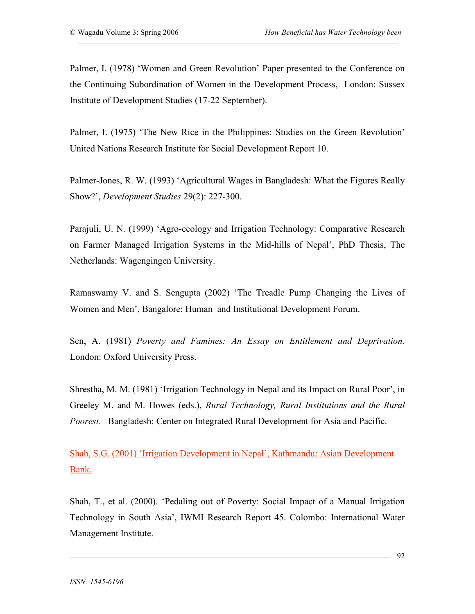Palmer, I. (1978) 'Women and Green Revolution' Paper presented to the Conference on the Continuing Subordination of Women in the Development Process, London: Sussex Institute of Development Studies (17-22 September).

Palmer, I. (1975) 'The New Rice in the Philippines: Studies on the Green Revolution' United Nations Research Institute for Social Development Report 10.

Palmer-Jones, R. W. (1993) 'Agricultural Wages in Bangladesh: What the Figures Really Show?', *Development Studies* 29(2): 227-300.

Parajuli, U. N. (1999) 'Agro-ecology and Irrigation Technology: Comparative Research on Farmer Managed Irrigation Systems in the Mid-hills of Nepal', PhD Thesis, The Netherlands: Wagengingen University.

Ramaswamy V. and S. Sengupta (2002) 'The Treadle Pump Changing the Lives of Women and Men', Bangalore: Human and Institutional Development Forum.

Sen, A. (1981) *Poverty and Famines: An Essay on Entitlement and Deprivation.* London: Oxford University Press.

Shrestha, M. M. (1981) 'Irrigation Technology in Nepal and its Impact on Rural Poor', in Greeley M. and M. Howes (eds.), *Rural Technology, Rural Institutions and the Rural Poorest*. Bangladesh: Center on Integrated Rural Development for Asia and Pacific.

Shah, S.G. (2001) 'Irrigation Development in Nepal', Kathmandu: Asian Development Bank.

Shah, T., et al. (2000). 'Pedaling out of Poverty: Social Impact of a Manual Irrigation Technology in South Asia', IWMI Research Report 45. Colombo: International Water Management Institute.